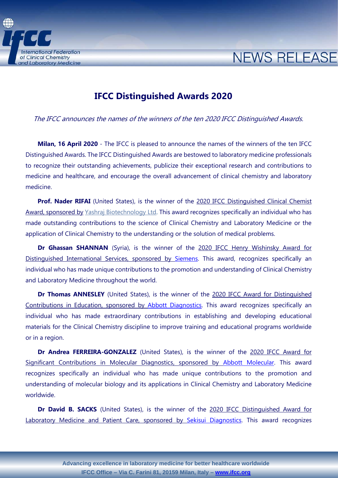

## **IFCC Distinguished Awards 2020**

The IFCC announces the names of the winners of the ten 2020 IFCC Distinguished Awards.

**NEWS RELEASE** 

**Milan, 16 April 2020** - The IFCC is pleased to announce the names of the winners of the ten IFCC Distinguished Awards. The IFCC Distinguished Awards are bestowed to laboratory medicine professionals to recognize their outstanding achievements, publicize their exceptional research and contributions to medicine and healthcare, and encourage the overall advancement of clinical chemistry and laboratory medicine.

**Prof. Nader RIFAI** (United States), is the winner of the 2020 IFCC Distinguished Clinical Chemist Award, sponsored by [Yashraj Biotechnology](http://yashraj.com/) Ltd. This award recognizes specifically an individual who has made outstanding contributions to the science of Clinical Chemistry and Laboratory Medicine or the application of Clinical Chemistry to the understanding or the solution of medical problems.

**Dr Ghassan SHANNAN** (Syria), is the winner of the 2020 IFCC Henry Wishinsky Award for Distinguished International Services, sponsored by [Siemens.](http://www.siemens.com/diagnostics) This award, recognizes specifically an individual who has made unique contributions to the promotion and understanding of Clinical Chemistry and Laboratory Medicine throughout the world.

**Dr Thomas ANNESLEY** (United States), is the winner of the 2020 IFCC Award for Distinguished Contributions in Education, sponsored by [Abbott Diagnostics.](http://www.abbott.com/) This award recognizes specifically an individual who has made extraordinary contributions in establishing and developing educational materials for the Clinical Chemistry discipline to improve training and educational programs worldwide or in a region.

**Dr Andrea FERREIRA-GONZALEZ** (United States), is the winner of the 2020 IFCC Award for Significant Contributions in Molecular Diagnostics, sponsored by [Abbott Molecular.](http://www.abbott.com/) This award recognizes specifically an individual who has made unique contributions to the promotion and understanding of molecular biology and its applications in Clinical Chemistry and Laboratory Medicine worldwide.

**Dr David B. SACKS** (United States), is the winner of the 2020 IFCC Distinguished Award for Laboratory Medicine and Patient Care, sponsored by [Sekisui Diagnostics.](http://www.sekisuidiagnostics.com/) This award recognizes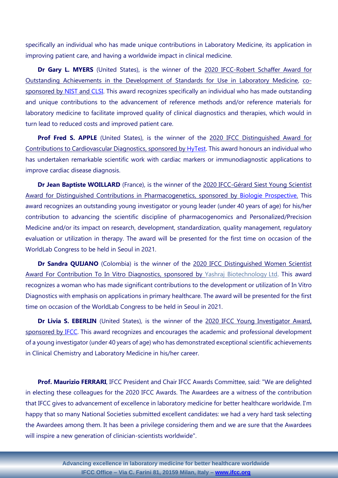specifically an individual who has made unique contributions in Laboratory Medicine, its application in improving patient care, and having a worldwide impact in clinical medicine.

Dr Gary L. MYERS (United States), is the winner of the 2020 IFCC-Robert Schaffer Award for Outstanding Achievements in the Development of Standards for Use in Laboratory Medicine, co-sponsored by [NIST](https://www.nist.gov/) and [CLSI.](http://clsi.org/) This award recognizes specifically an individual who has made outstanding and unique contributions to the advancement of reference methods and/or reference materials for laboratory medicine to facilitate improved quality of clinical diagnostics and therapies, which would in turn lead to reduced costs and improved patient care.

**Prof Fred S. APPLE** (United States), is the winner of the 2020 IFCC Distinguished Award for Contributions to Cardiovascular Diagnostics, sponsored by [HyTest.](http://www.hytest.fi/) This award honours an individual who has undertaken remarkable scientific work with cardiac markers or immunodiagnostic applications to improve cardiac disease diagnosis.

**Dr Jean Baptiste WOILLARD** (France), is the winner of the 2020 IFCC-Gérard Siest Young Scientist Award for Distinguished Contributions in Pharmacogenetics, sponsored by [Biologie Prospective.](http://www.biologie-prospective.org/index.aspx) This award recognizes an outstanding young investigator or young leader (under 40 years of age) for his/her contribution to advancing the scientific discipline of pharmacogenomics and Personalized/Precision Medicine and/or its impact on research, development, standardization, quality management, regulatory evaluation or utilization in therapy. The award will be presented for the first time on occasion of the WorldLab Congress to be held in Seoul in 2021.

**Dr Sandra QUIJANO** (Colombia) is the winner of the 2020 IFCC Distinguished Women Scientist Award For Contribution To In Vitro Diagnostics, sponsored by [Yashraj Biotechnology](http://yashraj.com/) Ltd. This award recognizes a woman who has made significant contributions to the development or utilization of In Vitro Diagnostics with emphasis on applications in primary healthcare. The award will be presented for the first time on occasion of the WorldLab Congress to be held in Seoul in 2021.

**Dr Livia S. EBERLIN** (United States), is the winner of the 2020 IFCC Young Investigator Award, sponsored by [IFCC.](http://www.ifcc.org/) This award recognizes and encourages the academic and professional development of a young investigator (under 40 years of age) who has demonstrated exceptional scientific achievements in Clinical Chemistry and Laboratory Medicine in his/her career.

**Prof. Maurizio FERRARI**, IFCC President and Chair IFCC Awards Committee, said: "We are delighted in electing these colleagues for the 2020 IFCC Awards. The Awardees are a witness of the contribution that IFCC gives to advancement of excellence in laboratory medicine for better healthcare worldwide. I'm happy that so many National Societies submitted excellent candidates: we had a very hard task selecting the Awardees among them. It has been a privilege considering them and we are sure that the Awardees will inspire a new generation of clinician-scientists worldwide".